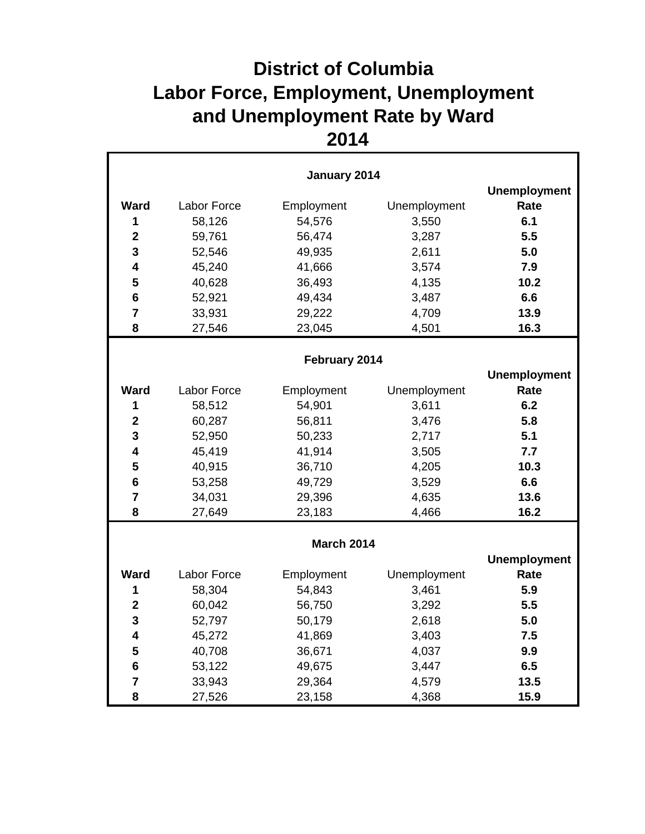## **District of Columbia Labor Force, Employment, Unemployment and Unemployment Rate by Ward**

| January 2014            |             |                     |              |                     |
|-------------------------|-------------|---------------------|--------------|---------------------|
|                         |             |                     |              | <b>Unemployment</b> |
| <b>Ward</b>             | Labor Force | Employment          | Unemployment | Rate                |
| 1                       | 58,126      | 54,576              | 3,550        | 6.1                 |
| $\mathbf{2}$            | 59,761      | 56,474              | 3,287        | 5.5                 |
| 3                       | 52,546      | 49,935              | 2,611        | 5.0                 |
| 4                       | 45,240      | 41,666              | 3,574        | 7.9                 |
| 5                       | 40,628      | 36,493              | 4,135        | 10.2                |
| $6\phantom{1}6$         | 52,921      | 49,434              | 3,487        | 6.6                 |
| $\overline{7}$          | 33,931      | 29,222              | 4,709        | 13.9                |
| 8                       | 27,546      | 23,045              | 4,501        | 16.3                |
|                         |             | February 2014       |              |                     |
|                         |             | <b>Unemployment</b> |              |                     |
| <b>Ward</b>             | Labor Force | Employment          | Unemployment | Rate                |
| 1                       | 58,512      | 54,901              | 3,611        | 6.2                 |
| $\mathbf{2}$            | 60,287      | 56,811              | 3,476        | 5.8                 |
| 3                       | 52,950      | 50,233              | 2,717        | 5.1                 |
| 4                       | 45,419      | 41,914              | 3,505        | 7.7                 |
| 5                       | 40,915      | 36,710              | 4,205        | 10.3                |
| 6                       | 53,258      | 49,729              | 3,529        | 6.6                 |
| $\overline{7}$          | 34,031      | 29,396              | 4,635        | 13.6                |
| 8                       | 27,649      | 23,183              | 4,466        | 16.2                |
|                         |             | <b>March 2014</b>   |              |                     |
|                         |             |                     |              | <b>Unemployment</b> |
| <b>Ward</b>             | Labor Force | Employment          | Unemployment | Rate                |
| 1                       | 58,304      | 54,843              | 3,461        | 5.9                 |
| $\overline{\mathbf{2}}$ | 60,042      | 56,750              | 3,292        | 5.5                 |
| 3                       | 52,797      | 50,179              | 2,618        | 5.0                 |
| $\overline{\mathbf{4}}$ | 45,272      | 41,869              | 3,403        | 7.5                 |
| 5                       | 40,708      | 36,671              | 4,037        | 9.9                 |
| $6\phantom{1}6$         | 53,122      | 49,675              | 3,447        | 6.5                 |
| $\overline{7}$          | 33,943      | 29,364              | 4,579        | 13.5                |
| 8                       | 27,526      | 23,158              | 4,368        | 15.9                |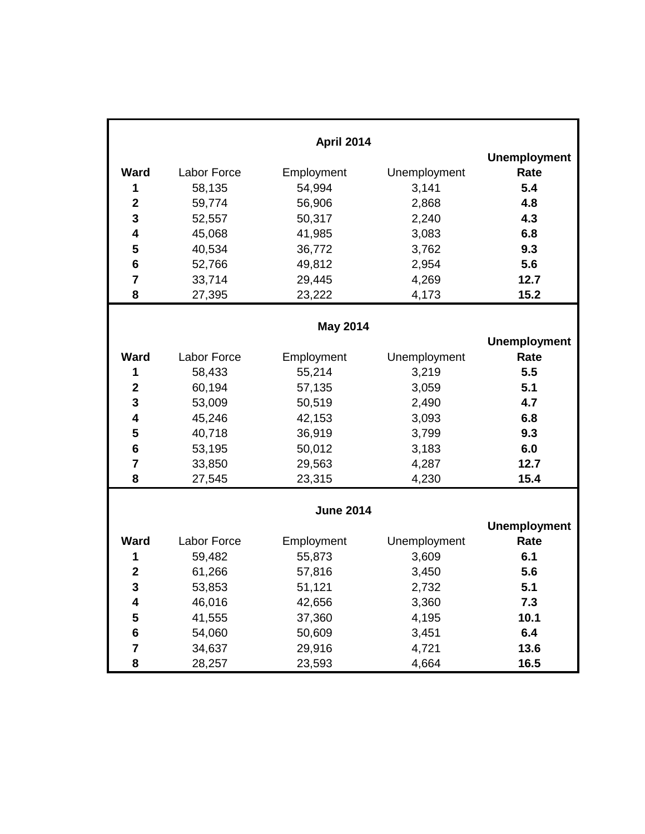| <b>April 2014</b>       |                    |                  |              |                     |
|-------------------------|--------------------|------------------|--------------|---------------------|
|                         |                    |                  |              | <b>Unemployment</b> |
| <b>Ward</b>             | <b>Labor Force</b> | Employment       | Unemployment | Rate                |
| 1                       | 58,135             | 54,994           | 3,141        | 5.4                 |
| $\overline{\mathbf{2}}$ | 59,774             | 56,906           | 2,868        | 4.8                 |
| $\mathbf{3}$            | 52,557             | 50,317           | 2,240        | 4.3                 |
| $\overline{\mathbf{4}}$ | 45,068             | 41,985           | 3,083        | 6.8                 |
| 5                       | 40,534             | 36,772           | 3,762        | 9.3                 |
| $6\phantom{1}6$         | 52,766             | 49,812           | 2,954        | 5.6                 |
| $\overline{7}$          | 33,714             | 29,445           | 4,269        | 12.7                |
| 8                       | 27,395             | 23,222           | 4,173        | 15.2                |
|                         |                    |                  |              |                     |
| <b>May 2014</b>         |                    |                  |              |                     |
|                         |                    |                  |              | <b>Unemployment</b> |
| <b>Ward</b>             | Labor Force        | Employment       | Unemployment | Rate                |
| 1                       | 58,433             | 55,214           | 3,219        | 5.5                 |
| $\mathbf{2}$            | 60,194             | 57,135           | 3,059        | 5.1                 |
| $\mathbf{3}$            | 53,009             | 50,519           | 2,490        | 4.7                 |
| $\overline{\mathbf{4}}$ | 45,246             | 42,153           | 3,093        | 6.8                 |
| 5                       | 40,718             | 36,919           | 3,799        | 9.3                 |
| $6\phantom{1}$          | 53,195             | 50,012           | 3,183        | 6.0                 |
| $\overline{7}$          | 33,850             | 29,563           | 4,287        | 12.7                |
| 8                       | 27,545             | 23,315           | 4,230        | 15.4                |
|                         |                    |                  |              |                     |
|                         |                    | <b>June 2014</b> |              |                     |
|                         |                    |                  |              | <b>Unemployment</b> |
| <b>Ward</b>             | Labor Force        | Employment       | Unemployment | Rate                |
| 1                       | 59,482             | 55,873           | 3,609        | 6.1                 |
| $\mathbf{2}$            | 61,266             | 57,816           | 3,450        | 5.6                 |
| 3                       | 53,853             | 51,121           | 2,732        | 5.1                 |
| 4                       | 46,016             | 42,656           | 3,360        | 7.3                 |
| 5                       | 41,555             | 37,360           | 4,195        | 10.1                |
| $\bf 6$                 | 54,060             | 50,609           | 3,451        | 6.4                 |
| 7                       | 34,637             | 29,916           | 4,721        | 13.6                |
| 8                       | 28,257             | 23,593           | 4,664        | 16.5                |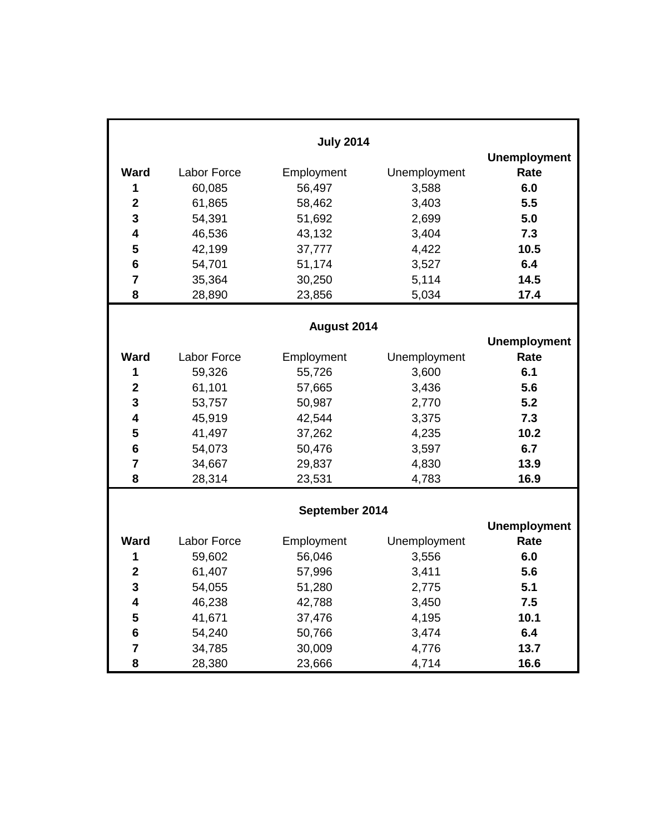|                         |             | <b>July 2014</b> |              |                     |
|-------------------------|-------------|------------------|--------------|---------------------|
|                         |             |                  |              | <b>Unemployment</b> |
| Ward                    | Labor Force | Employment       | Unemployment | Rate                |
| 1                       | 60,085      | 56,497           | 3,588        | 6.0                 |
| $\mathbf{2}$            | 61,865      | 58,462           | 3,403        | 5.5                 |
| 3                       | 54,391      | 51,692           | 2,699        | 5.0                 |
| $\overline{\mathbf{4}}$ | 46,536      | 43,132           | 3,404        | 7.3                 |
| 5                       | 42,199      | 37,777           | 4,422        | 10.5                |
| 6                       | 54,701      | 51,174           | 3,527        | 6.4                 |
| $\overline{7}$          | 35,364      | 30,250           | 5,114        | 14.5                |
| 8                       | 28,890      | 23,856           | 5,034        | 17.4                |
|                         |             |                  |              |                     |
|                         |             | August 2014      |              |                     |
|                         |             |                  |              | <b>Unemployment</b> |
| <b>Ward</b>             | Labor Force | Employment       | Unemployment | Rate                |
| 1                       | 59,326      | 55,726           | 3,600        | 6.1                 |
| $\mathbf{2}$            | 61,101      | 57,665           | 3,436        | 5.6                 |
| 3                       | 53,757      | 50,987           | 2,770        | 5.2                 |
| 4                       | 45,919      | 42,544           | 3,375        | 7.3                 |
| 5                       | 41,497      | 37,262           | 4,235        | 10.2                |
| 6                       | 54,073      | 50,476           | 3,597        | 6.7                 |
| $\overline{7}$          | 34,667      | 29,837           | 4,830        | 13.9                |
| 8                       | 28,314      | 23,531           | 4,783        | 16.9                |
|                         |             |                  |              |                     |
|                         |             | September 2014   |              |                     |
|                         |             |                  |              | <b>Unemployment</b> |
| <b>Ward</b>             | Labor Force | Employment       | Unemployment | Rate                |
| 1                       | 59,602      | 56,046           | 3,556        | 6.0                 |
| $\mathbf{2}$            | 61,407      | 57,996           | 3,411        | 5.6                 |
| 3                       | 54,055      | 51,280           | 2,775        | 5.1                 |
| 4                       | 46,238      | 42,788           | 3,450        | 7.5                 |
| 5                       | 41,671      | 37,476           | 4,195        | 10.1                |
| $\bf 6$                 | 54,240      | 50,766           | 3,474        | 6.4                 |
| 7                       | 34,785      | 30,009           | 4,776        | 13.7                |
| 8                       | 28,380      | 23,666           | 4,714        | 16.6                |